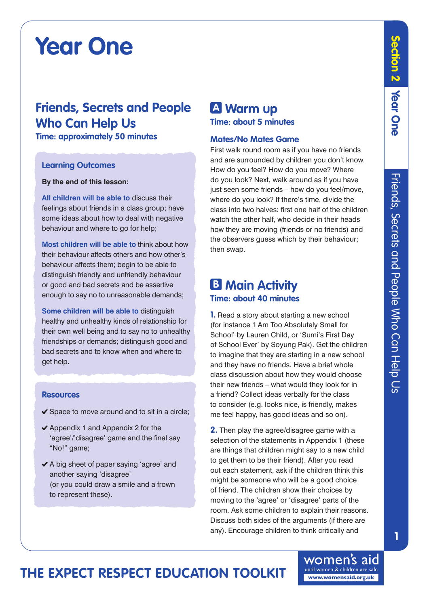# **Year One**

## **Friends, Secrets and People Who Can Help Us**

**Time: approximately 50 minutes**

### **Learning Outcomes**

#### **By the end of this lesson:**

**All children will be able to** discuss their feelings about friends in a class group; have some ideas about how to deal with negative behaviour and where to go for help;

**Most children will be able to** think about how their behaviour affects others and how other's behaviour affects them; begin to be able to distinguish friendly and unfriendly behaviour or good and bad secrets and be assertive enough to say no to unreasonable demands;

**Some children will be able to** distinguish healthy and unhealthy kinds of relationship for their own well being and to say no to unhealthy friendships or demands; distinguish good and bad secrets and to know when and where to get help.

#### **Resources**

- $\checkmark$  Space to move around and to sit in a circle;
- $\blacktriangleright$  Appendix 1 and Appendix 2 for the 'agree'/'disagree' game and the final say "No!" game;
- A big sheet of paper saying 'agree' and another saying 'disagree' (or you could draw a smile and a frown to represent these).

## **A Warm up Time: about 5 minutes**

#### **Mates/No Mates Game**

First walk round room as if you have no friends and are surrounded by children you don't know. How do you feel? How do you move? Where do you look? Next, walk around as if you have just seen some friends – how do you feel/move. where do you look? If there's time, divide the class into two halves: first one half of the children watch the other half, who decide in their heads how they are moving (friends or no friends) and the observers guess which by their behaviour; then swap.

## **B Main Activity Time: about 40 minutes**

**1.** Read a story about starting a new school (for instance 'I Am Too Absolutely Small for School' by Lauren Child, or 'Sumi's First Day of School Ever' by Soyung Pak). Get the children to imagine that they are starting in a new school and they have no friends. Have a brief whole class discussion about how they would choose their new friends – what would they look for in a friend? Collect ideas verbally for the class to consider (e.g. looks nice, is friendly, makes me feel happy, has good ideas and so on).

**2.** Then play the agree/disagree game with a selection of the statements in Appendix 1 (these are things that children might say to a new child to get them to be their friend). After you read out each statement, ask if the children think this might be someone who will be a good choice of friend. The children show their choices by moving to the 'agree' or 'disagree' parts of the room. Ask some children to explain their reasons. Discuss both sides of the arguments (if there are any). Encourage children to think critically and

# **The Expect Respect Education Toolkit**

**Section 2**

Section 2

**Year** 

**One**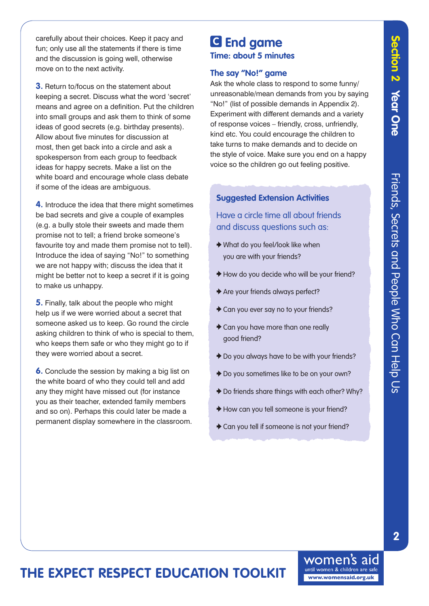carefully about their choices. Keep it pacy and fun; only use all the statements if there is time and the discussion is going well, otherwise move on to the next activity.

**3.** Return to/focus on the statement about keeping a secret. Discuss what the word 'secret' means and agree on a definition. Put the children into small groups and ask them to think of some ideas of good secrets (e.g. birthday presents). Allow about five minutes for discussion at most, then get back into a circle and ask a spokesperson from each group to feedback ideas for happy secrets. Make a list on the white board and encourage whole class debate if some of the ideas are ambiguous.

**4.** Introduce the idea that there might sometimes be bad secrets and give a couple of examples (e.g. a bully stole their sweets and made them promise not to tell; a friend broke someone's favourite toy and made them promise not to tell). Introduce the idea of saying "No!" to something we are not happy with; discuss the idea that it might be better not to keep a secret if it is going to make us unhappy.

**5.** Finally, talk about the people who might help us if we were worried about a secret that someone asked us to keep. Go round the circle asking children to think of who is special to them, who keeps them safe or who they might go to if they were worried about a secret.

**6.** Conclude the session by making a big list on the white board of who they could tell and add any they might have missed out (for instance you as their teacher, extended family members and so on). Perhaps this could later be made a permanent display somewhere in the classroom.

## **C End game Time: about 5 minutes**

## **The say "No!" game**

Ask the whole class to respond to some funny/ unreasonable/mean demands from you by saying "No!" (list of possible demands in Appendix 2). Experiment with different demands and a variety of response voices – friendly, cross, unfriendly, kind etc. You could encourage the children to take turns to make demands and to decide on the style of voice. Make sure you end on a happy voice so the children go out feeling positive.

## **Suggested Extension Activities**

Have a circle time all about friends and discuss questions such as:

- What do you feel/look like when you are with your friends?
- How do you decide who will be your friend?
- Are your friends always perfect?
- Can you ever say no to your friends?
- ◆ Can you have more than one really good friend?
- ◆ Do you always have to be with your friends?
- ◆ Do you sometimes like to be on your own?
- ◆ Do friends share things with each other? Why?
- How can you tell someone is your friend?
- ◆ Can you tell if someone is not your friend?

# **The Expect Respect Education Toolkit**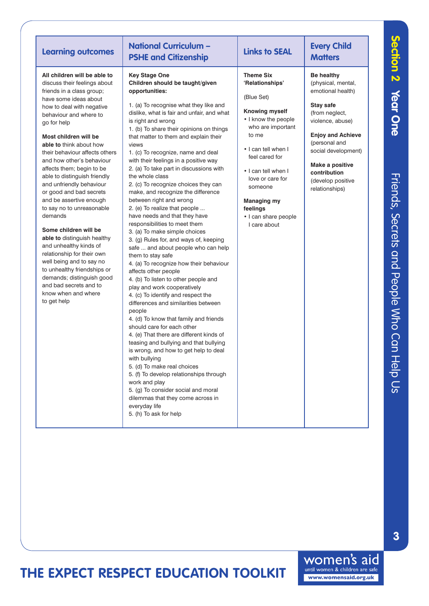| <b>Learning outcomes</b>                                                                                                                                                                                                                                                                                                                                                                                                                                                                                                                                                                                                                                                                                                                                                   | <b>National Curriculum -</b><br><b>PSHE and Citizenship</b>                                                                                                                                                                                                                                                                                                                                                                                                                                                                                                                                                                                                                                                                                                                                                                                                                                                                                                                                                                                                                                                                                                                                                                                                                                                                                                                                                                                                       | <b>Links to SEAL</b>                                                                                                                                                                                                                                                                              | <b>Every Child</b><br><b>Matters</b>                                                                                                                                                                                                                          |
|----------------------------------------------------------------------------------------------------------------------------------------------------------------------------------------------------------------------------------------------------------------------------------------------------------------------------------------------------------------------------------------------------------------------------------------------------------------------------------------------------------------------------------------------------------------------------------------------------------------------------------------------------------------------------------------------------------------------------------------------------------------------------|-------------------------------------------------------------------------------------------------------------------------------------------------------------------------------------------------------------------------------------------------------------------------------------------------------------------------------------------------------------------------------------------------------------------------------------------------------------------------------------------------------------------------------------------------------------------------------------------------------------------------------------------------------------------------------------------------------------------------------------------------------------------------------------------------------------------------------------------------------------------------------------------------------------------------------------------------------------------------------------------------------------------------------------------------------------------------------------------------------------------------------------------------------------------------------------------------------------------------------------------------------------------------------------------------------------------------------------------------------------------------------------------------------------------------------------------------------------------|---------------------------------------------------------------------------------------------------------------------------------------------------------------------------------------------------------------------------------------------------------------------------------------------------|---------------------------------------------------------------------------------------------------------------------------------------------------------------------------------------------------------------------------------------------------------------|
| All children will be able to<br>discuss their feelings about<br>friends in a class group;<br>have some ideas about<br>how to deal with negative<br>behaviour and where to<br>go for help<br>Most children will be<br>able to think about how<br>their behaviour affects others<br>and how other's behaviour<br>affects them; begin to be<br>able to distinguish friendly<br>and unfriendly behaviour<br>or good and bad secrets<br>and be assertive enough<br>to say no to unreasonable<br>demands<br>Some children will be<br>able to distinguish healthy<br>and unhealthy kinds of<br>relationship for their own<br>well being and to say no<br>to unhealthy friendships or<br>demands; distinguish good<br>and bad secrets and to<br>know when and where<br>to get help | <b>Key Stage One</b><br>Children should be taught/given<br>opportunities:<br>1. (a) To recognise what they like and<br>dislike, what is fair and unfair, and what<br>is right and wrong<br>1. (b) To share their opinions on things<br>that matter to them and explain their<br>views<br>1. (c) To recognize, name and deal<br>with their feelings in a positive way<br>2. (a) To take part in discussions with<br>the whole class<br>2. (c) To recognize choices they can<br>make, and recognize the difference<br>between right and wrong<br>2. (e) To realize that people<br>have needs and that they have<br>responsibilities to meet them<br>3. (a) To make simple choices<br>3. (g) Rules for, and ways of, keeping<br>safe  and about people who can help<br>them to stay safe<br>4. (a) To recognize how their behaviour<br>affects other people<br>4. (b) To listen to other people and<br>play and work cooperatively<br>4. (c) To identify and respect the<br>differences and similarities between<br>people<br>4. (d) To know that family and friends<br>should care for each other<br>4. (e) That there are different kinds of<br>teasing and bullying and that bullying<br>is wrong, and how to get help to deal<br>with bullying<br>5. (d) To make real choices<br>5. (f) To develop relationships through<br>work and play<br>5. (g) To consider social and moral<br>dilemmas that they come across in<br>everyday life<br>5. (h) To ask for help | <b>Theme Six</b><br>'Relationships'<br>(Blue Set)<br>Knowing myself<br>• I know the people<br>who are important<br>to me<br>. I can tell when I<br>feel cared for<br>• I can tell when I<br>love or care for<br>someone<br><b>Managing my</b><br>feelings<br>· I can share people<br>I care about | <b>Be healthy</b><br>(physical, mental,<br>emotional health)<br>Stay safe<br>(from neglect,<br>violence, abuse)<br><b>Enjoy and Achieve</b><br>(personal and<br>social development)<br>Make a positive<br>contribution<br>(develop positive<br>relationships) |

**The Expect Respect Education Toolkit**

**3**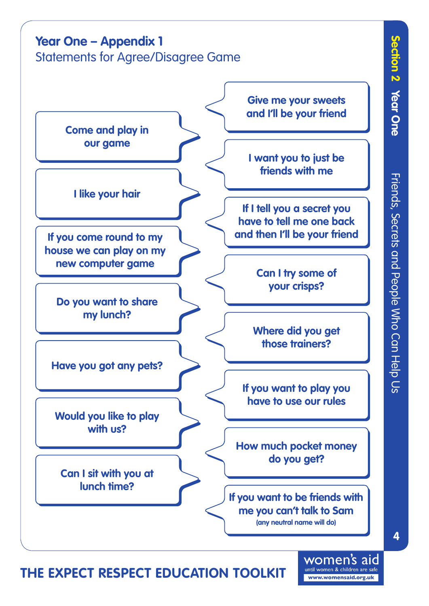

**Come and play in our game**

**I like your hair**

**If you come round to my house we can play on my new computer game**

**Do you want to share my lunch?**

**Have you got any pets?**

**Would you like to play with us?**

**Can I sit with you at lunch time?**

**Give me your sweets and I'll be your friend**

**I want you to just be friends with me**

**If I tell you a secret you have to tell me one back and then I'll be your friend**

> **Can I try some of your crisps?**

**Where did you get those trainers?**

**If you want to play you have to use our rules**

**How much pocket money do you get?**

**If you want to be friends with me you can't talk to Sam (any neutral name will do)**

**Section 2**

**Year** 

**One**

# **The Expect Respect Education Toolkit**